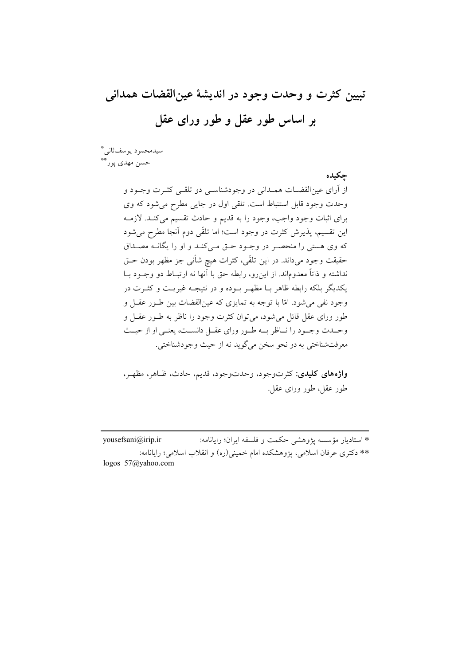تبيين كثرت و وحدت وجود در انديشهٔ عينالقضات همداني بر اساس طور عقل و طور ورای عقل

حكىدە

سيدمحمود يوسف ثاني\* حسن مهدي پورٽ

> از أرای عین|لقضــات همــدانی در وجودشناســی دو تلقــی کثــرت وجــود و وحدت وجود قابل استنباط است. تلقی اول در جایی مطرح می شود که وی براي اثبات وجود واجب، وجود را به قديم و حادث تقسيم مي كنـد. لازمـه این تقسیم، پذیرش کثرت در وجود است؛ اما تلقّی دوم آنجا مطرح می شود که وی هستی را منحصـر در وجـود حـق مـی کنـد و او را یگانـه مصـداق حقیقت وجود میداند. در این تلقّی، کثرات هیچ شأنی جز مظهر بودن حـق نداشته و ذاتاً معدوماند. از این رو، رابطه حق با آنها نه ارتبـاط دو وجـود بـا يکديگر بلکه رابطه ظاهر بـا مظهـر بـوده و در نتيجـه غيريـت و کثــرت در وجود نفي مي شود. امّا با توجه به تمايزي كه عين|لقضات بين طـور عقـل و طور ورای عقل قائل می شود، می توان کثرت وجود را ناظر به طبور عقبل و وحـدت وجـود را نــاظر بــه طـور وراي عقــل دانســت، يعنــى او از حيــث معرفتشناختي به دو نحو سخن مي گويد نه از حيث وجودشناختي.

> واژههای کلیدی: کثرتوجود، وحدتوجود، قدیم، حادث، ظاهر، مظهر، طور عقل، طور وراي عقل.

\* استاديار مؤسسه يژوهشي حكمت و فلسفه ايران؛ رايانامه: yousefsani@irip.ir \*\* دکتری عرفان اسلامی، پژوهشکده امام خمینی(ره) و انقلاب اسلامی؛ رایانامه: logos  $57$ @yahoo.com